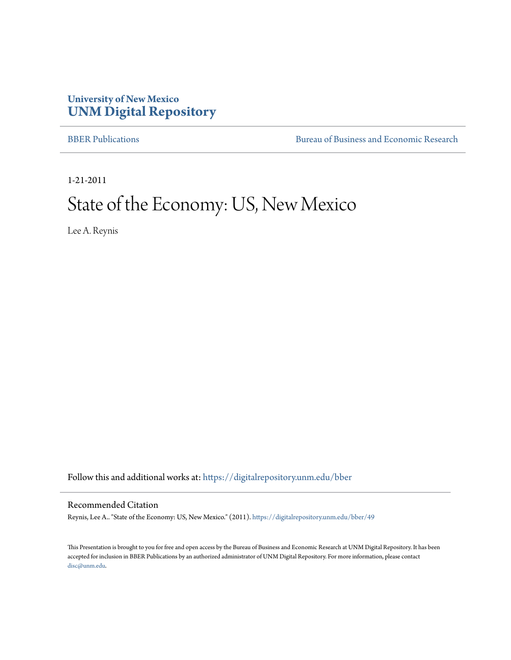#### **University of New Mexico [UNM Digital Repository](https://digitalrepository.unm.edu?utm_source=digitalrepository.unm.edu%2Fbber%2F49&utm_medium=PDF&utm_campaign=PDFCoverPages)**

[BBER Publications](https://digitalrepository.unm.edu/bber?utm_source=digitalrepository.unm.edu%2Fbber%2F49&utm_medium=PDF&utm_campaign=PDFCoverPages) **BUREA** [Bureau of Business and Economic Research](https://digitalrepository.unm.edu/business_economic_research?utm_source=digitalrepository.unm.edu%2Fbber%2F49&utm_medium=PDF&utm_campaign=PDFCoverPages)

1-21-2011

#### State of the Economy: US, New Mexico

Lee A. Reynis

Follow this and additional works at: [https://digitalrepository.unm.edu/bber](https://digitalrepository.unm.edu/bber?utm_source=digitalrepository.unm.edu%2Fbber%2F49&utm_medium=PDF&utm_campaign=PDFCoverPages)

#### Recommended Citation

Reynis, Lee A.. "State of the Economy: US, New Mexico." (2011). [https://digitalrepository.unm.edu/bber/49](https://digitalrepository.unm.edu/bber/49?utm_source=digitalrepository.unm.edu%2Fbber%2F49&utm_medium=PDF&utm_campaign=PDFCoverPages)

This Presentation is brought to you for free and open access by the Bureau of Business and Economic Research at UNM Digital Repository. It has been accepted for inclusion in BBER Publications by an authorized administrator of UNM Digital Repository. For more information, please contact [disc@unm.edu](mailto:disc@unm.edu).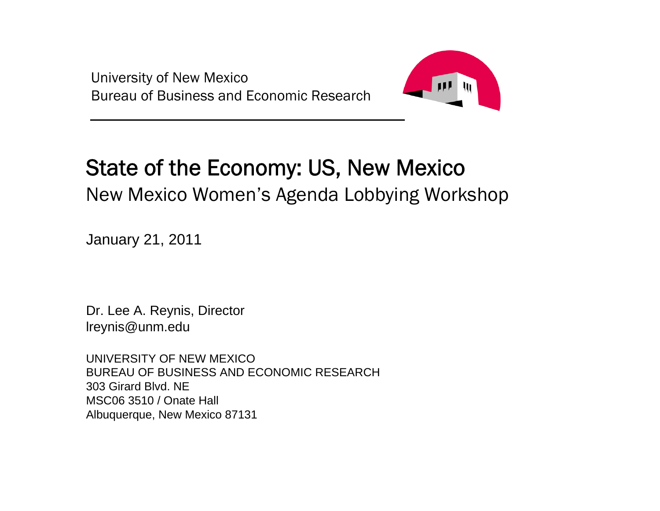University of New Mexico Bureau of Business and Economic Research



### State of the Economy: US, New Mexico

New Mexico Women's Agenda Lobbying Workshop

January 21, 2011

Dr. Lee A. Reynis, Director lreynis@unm.edu

UNIVERSITY OF NEW MEXICOBUREAU OF BUSINESS AND ECONOMIC RESEARCH303 Girard Blvd. NEMSC06 3510 / Onate Hall Albuquerque, New Mexico 87131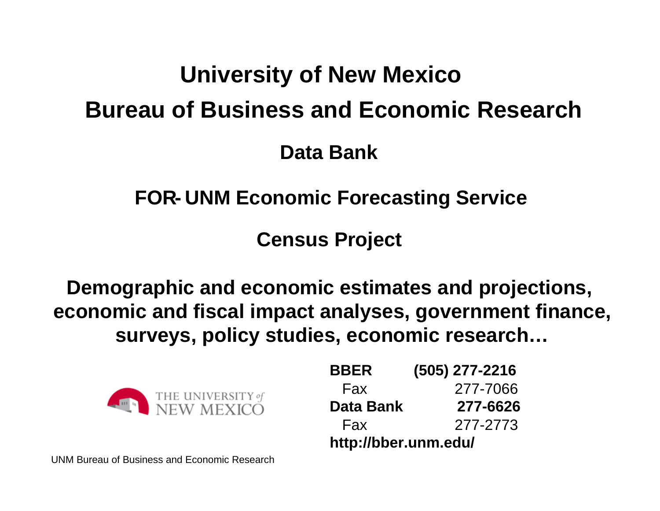# **University of New Mexico Bureau of Business and Economic Research**

**Data Bank**

**FOR- UNM Economic Forecasting Service**

**Census Project**

**Demographic and economic estimates and projections, economic and fiscal impact analyses, government finance, surveys, policy studies, economic research…**



| <b>BBER</b>          | $(505)$ 277-2216 |
|----------------------|------------------|
| Fax                  | 277-7066         |
| Data Bank            | 277-6626         |
| Fax                  | 277-2773         |
| http://bber.unm.edu/ |                  |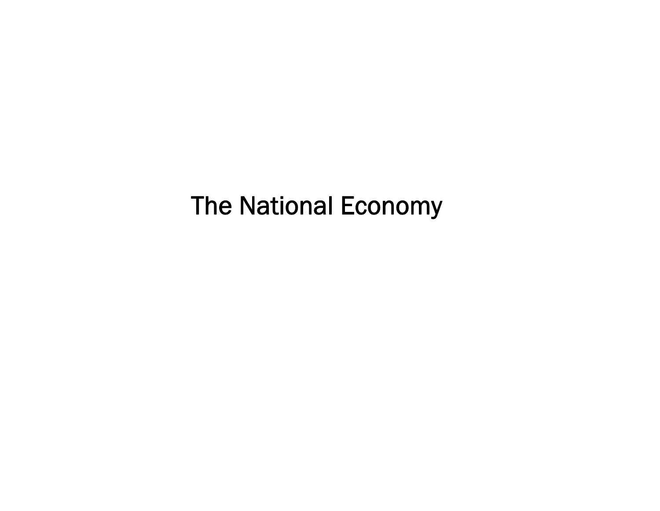## The National Economy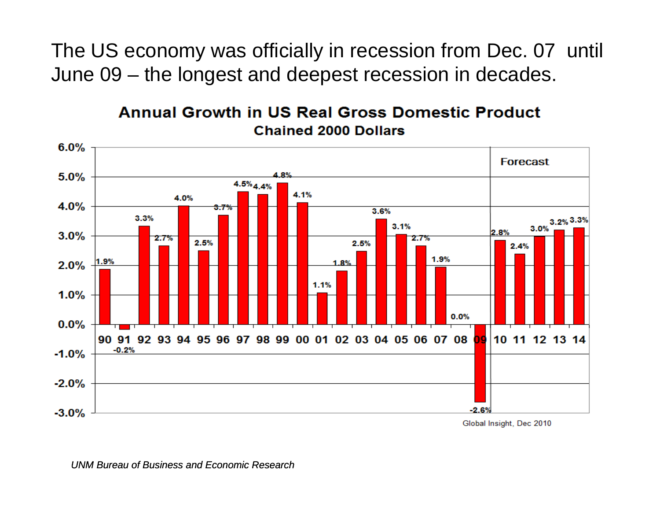The US economy was officially in recession from Dec. 07 until June 09 – the longest and deepest recession in decades.



#### **Annual Growth in US Real Gross Domestic Product Chained 2000 Dollars**

Global Insight, Dec 2010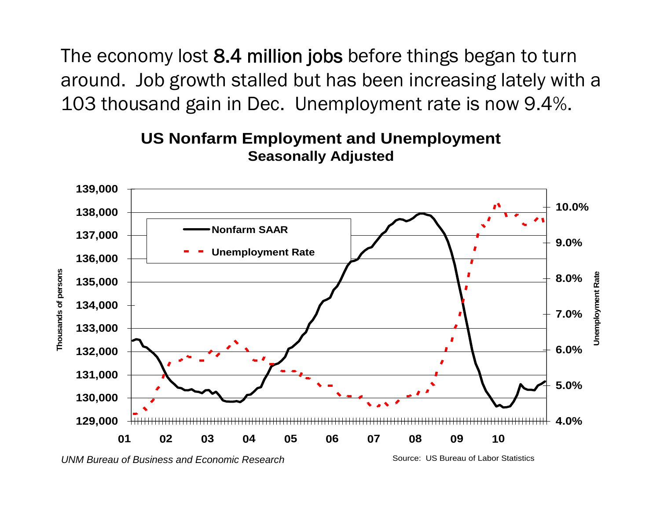The economy lost 8.4 million jobs before things began to turn around. Job growth stalled but has been increasing lately with a 103 thousand gain in Dec. Unemployment rate is now 9.4%.



#### **US Nonfarm Employment and Unemployment Seasonally Adjusted**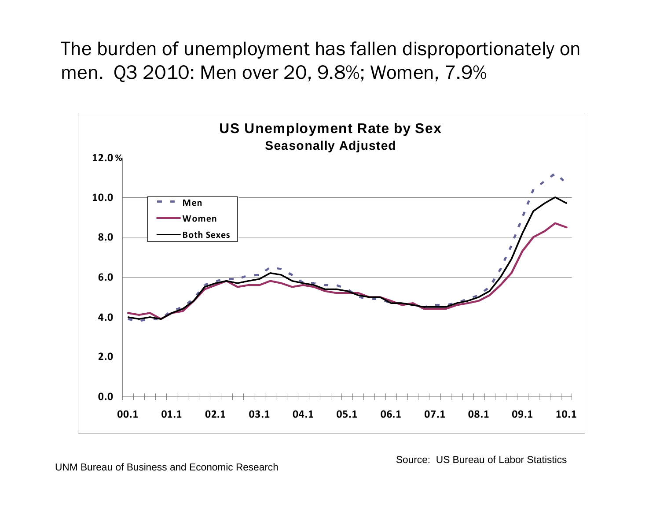The burden of unemployment has fallen disproportionately on men. Q3 2010: Men over 20, 9.8%; Women, 7.9%



UNM Bureau of Business and Economic Research

Source: US Bureau of Labor Statistics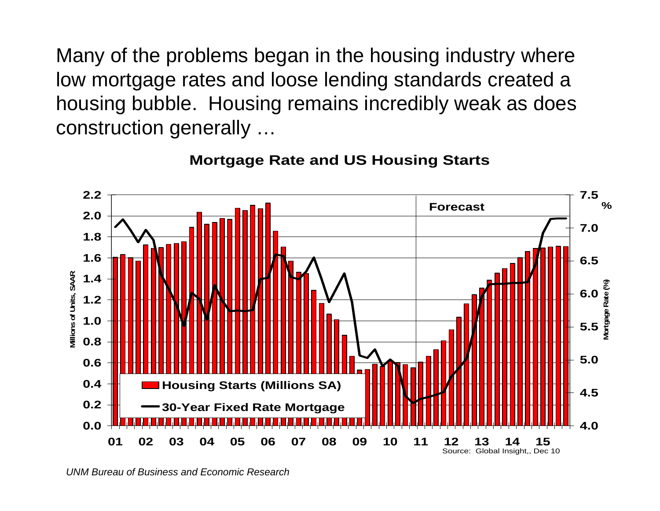Many of the problems began in the housing industry where low mortgage rates and loose lending standards created a housing bubble. Housing remains incredibly weak as does construction generally …



#### **Mortgage Rate and US Housing Starts**

*UNM Bureau of Business and Economic Research*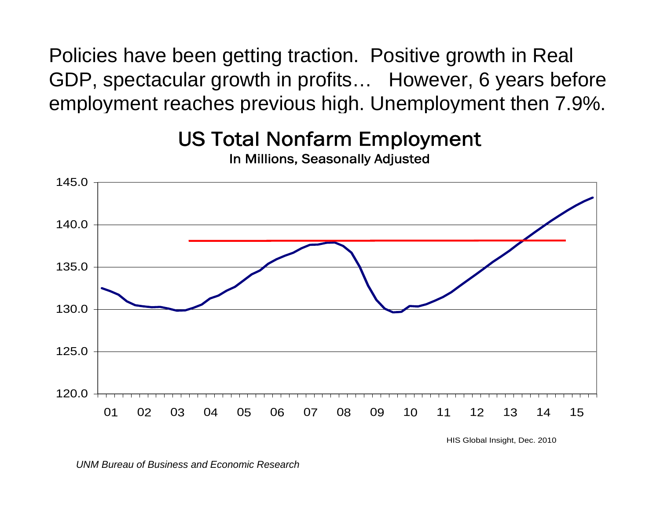Policies have been getting traction. Positive growth in Real GDP, spectacular growth in profits… However, 6 years before employment reaches previous high. Unemployment then 7.9%.



US Total Nonfarm Employment In Millions, Seasonally Adjusted

HIS Global Insight, Dec. 2010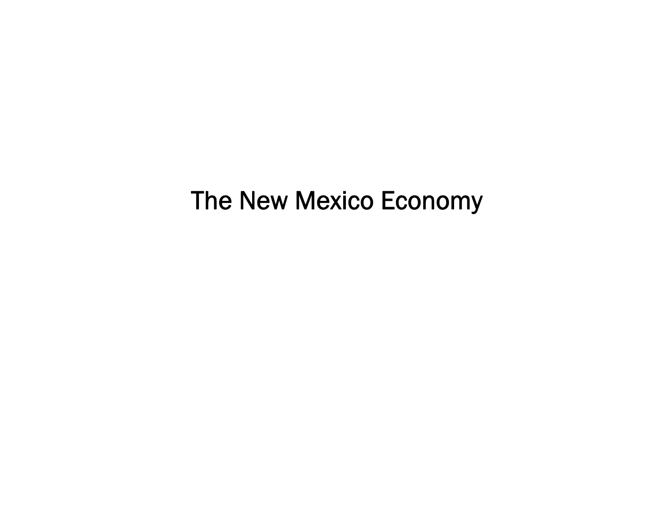### The New Mexico Economy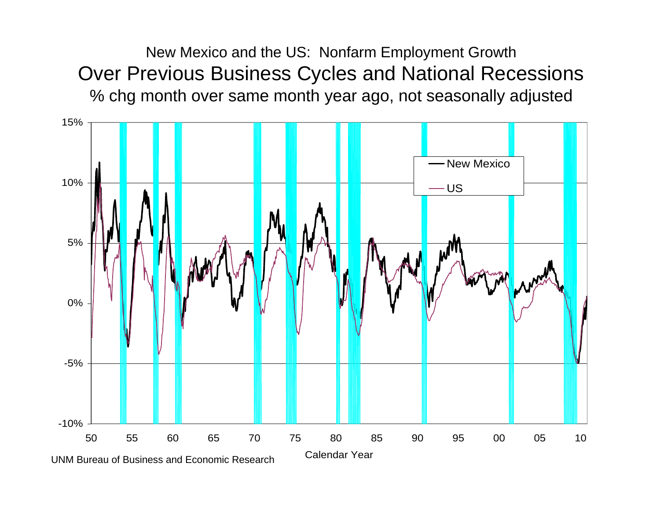New Mexico and the US: Nonfarm Employment Growth Over Previous Business Cycles and National Recessions % chg month over same month year ago, not seasonally adjusted

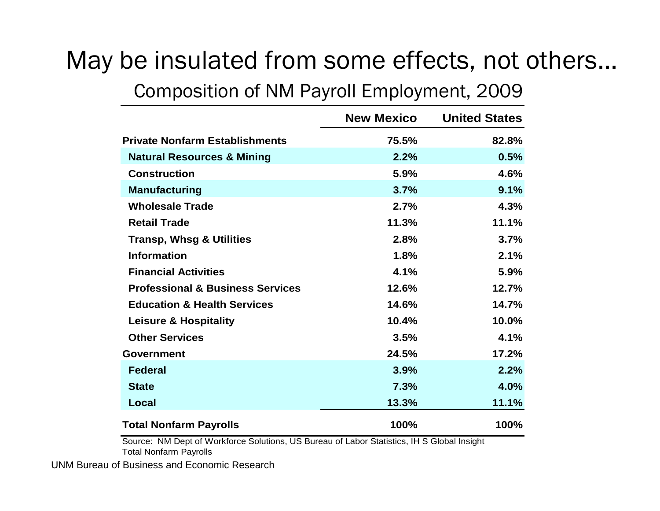# May be insulated from some effects, not others…

#### Composition of NM Payroll Employment, 2009

|                                             | <b>New Mexico</b> | <b>United States</b> |
|---------------------------------------------|-------------------|----------------------|
| <b>Private Nonfarm Establishments</b>       | 75.5%             | 82.8%                |
| <b>Natural Resources &amp; Mining</b>       | 2.2%              | 0.5%                 |
| <b>Construction</b>                         | 5.9%              | 4.6%                 |
| <b>Manufacturing</b>                        | 3.7%              | 9.1%                 |
| <b>Wholesale Trade</b>                      | 2.7%              | 4.3%                 |
| <b>Retail Trade</b>                         | 11.3%             | 11.1%                |
| <b>Transp, Whsg &amp; Utilities</b>         | 2.8%              | 3.7%                 |
| <b>Information</b>                          | 1.8%              | 2.1%                 |
| <b>Financial Activities</b>                 | 4.1%              | 5.9%                 |
| <b>Professional &amp; Business Services</b> | 12.6%             | 12.7%                |
| <b>Education &amp; Health Services</b>      | 14.6%             | 14.7%                |
| <b>Leisure &amp; Hospitality</b>            | 10.4%             | 10.0%                |
| <b>Other Services</b>                       | 3.5%              | 4.1%                 |
| Government                                  | 24.5%             | 17.2%                |
| <b>Federal</b>                              | 3.9%              | 2.2%                 |
| <b>State</b>                                | 7.3%              | 4.0%                 |
| Local                                       | 13.3%             | 11.1%                |
| <b>Total Nonfarm Payrolls</b>               | 100%              | 100%                 |

Source: NM Dept of Workforce Solutions, US Bureau of Labor Statistics, IH S Global Insight Total Nonfarm Payrolls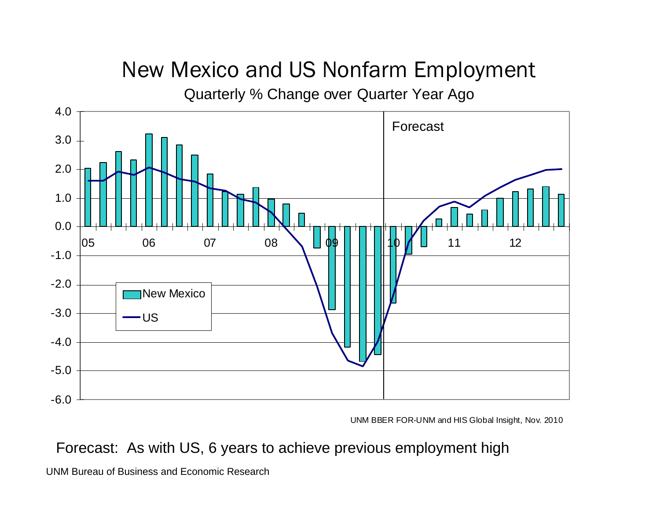### New Mexico and US Nonfarm Employment

Quarterly % Change over Quarter Year Ago



UNM BBER FOR-UNM and HIS Global Insight, Nov. 2010

#### Forecast: As with US, 6 years to achieve previous employment high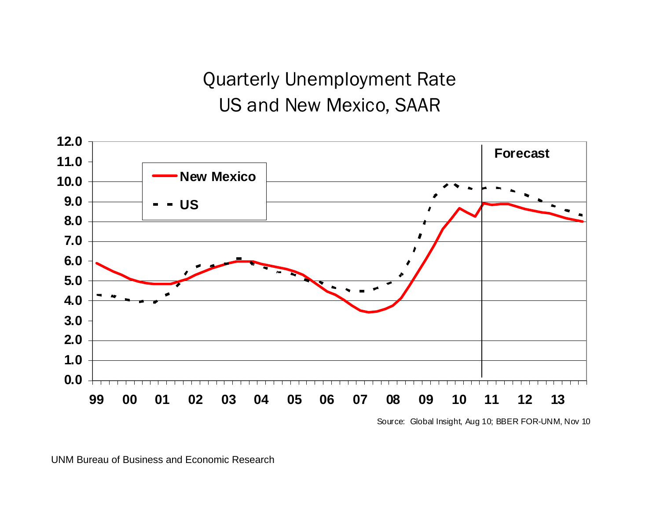Quarterly Unemployment Rate US and New Mexico, SAAR



Source: Global Insight, Aug 10; BBER FOR-UNM, Nov 10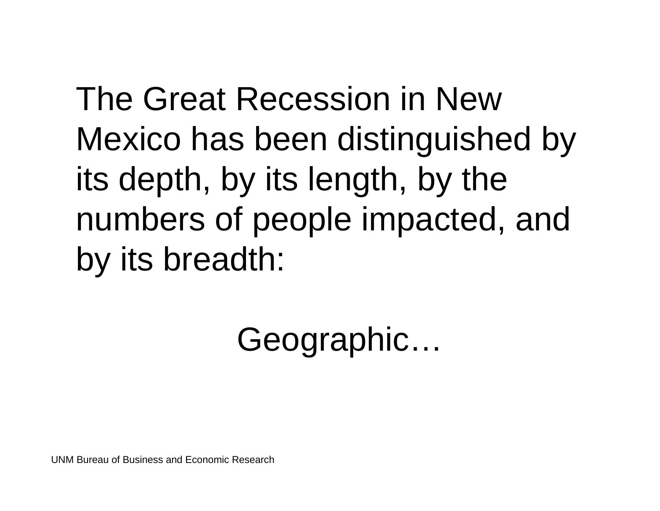The Great Recession in New Mexico has been distinguished by its depth, by its length, by the numbers of people impacted, and by its breadth:

Geographic…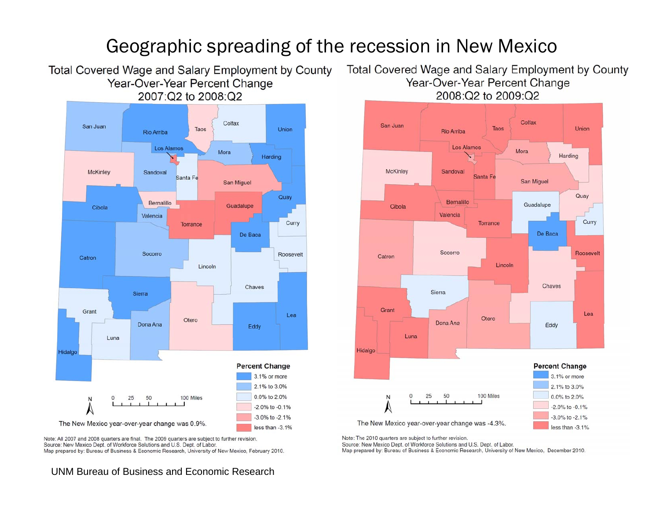#### Geographic spreading of the recession in New Mexico

Year-Over-Year Percent Change 2007:Q2 to 2008:Q2 Colfax San Juan Taos **Union Rio Arriba Los Alamos** Mora Harding McKinley Sandoval Santa Fe San Miguel Quay Bernalillo Guadalupe Cibola Valencia Curry Torrance De Baca Socorro Roosevelt Catron Lincoln Chaves Sierra Grant Lea Otero Dona Ana Eddy Luna Hidalgo **Percent Change** 3.1% or more 2.1% to 3.0% 0.0% to 2.0% 100 Miles  $\Omega$ 25 50 -2.0% to -0.1% -3.0% to -2.1% The New Mexico year-over-year change was 0.9%. less than -3.1%

Note: All 2007 and 2008 quarters are final. The 2009 quarters are subject to further revision. Source: New Mexico Dept. of Workforce Solutions and U.S. Dept. of Labor. Map prepared by: Bureau of Business & Economic Research, University of New Mexico, February 2010.

#### Total Covered Wage and Salary Employment by County Total Covered Wage and Salary Employment by County Year-Over-Year Percent Change 2008:Q2 to 2009:Q2



Note: The 2010 quarters are subject to further revision.

Source: New Mexico Dept. of Workforce Solutions and U.S. Dept. of Labor.

Map prepared by: Bureau of Business & Economic Research, University of New Mexico, December 2010.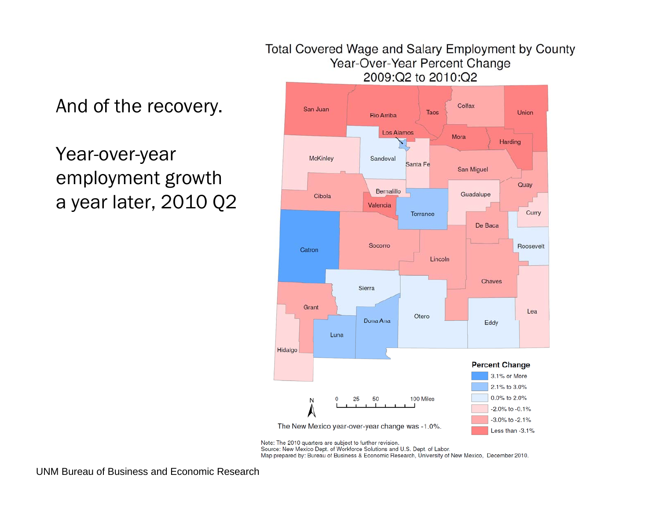#### Total Covered Wage and Salary Employment by County Year-Over-Year Percent Change 2009:Q2 to 2010:Q2

#### And of the recovery.

#### Year-over-year employment growth a year later, 2010 Q2



Note: The 2010 quarters are subject to further revision.

Source: New Mexico Dept. of Workforce Solutions and U.S. Dept. of Labor.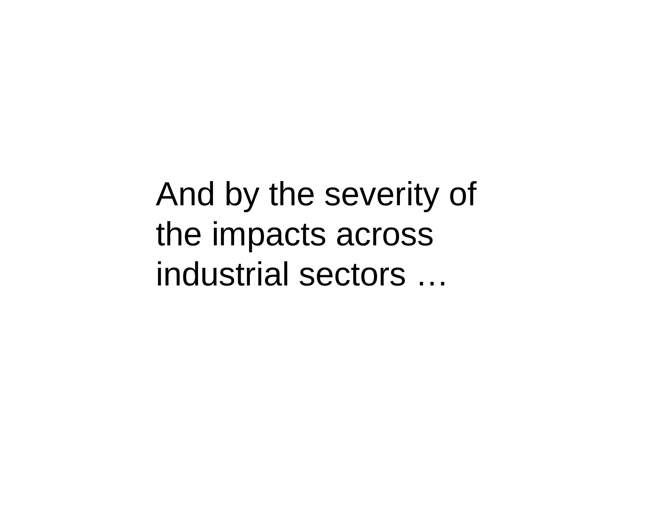And by the severity of the impacts across industrial sectors …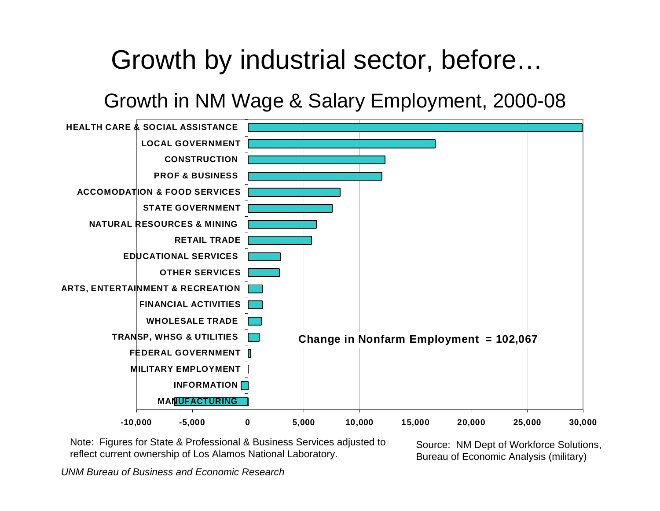# Growth by industrial sector, before…

Growth in NM Wage & Salary Employment, 2000-08



Note: Figures for State & Professional & Business Services adjusted to Note: Figures for State & Professional & Business Services adjusted to Source: NM Dept of Workforce Solutions,<br>Feflect current ownership of Los Alamos National Laboratory. The Bureau of Economic Analysis (military)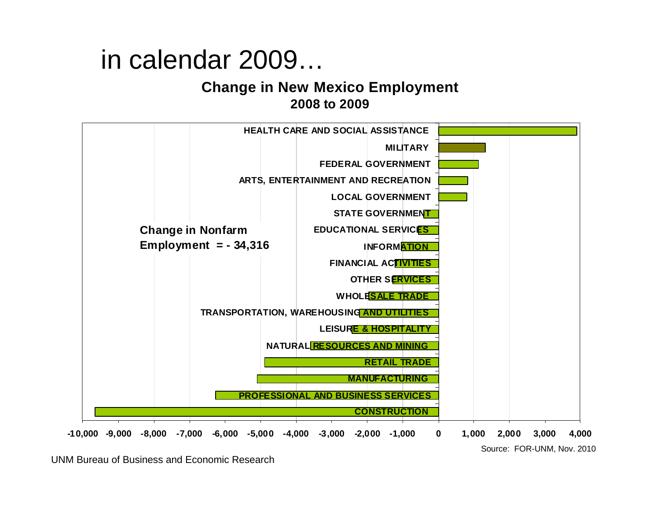# in calendar 2009…

#### **Change in New Mexico Employment 2008 to 2009**

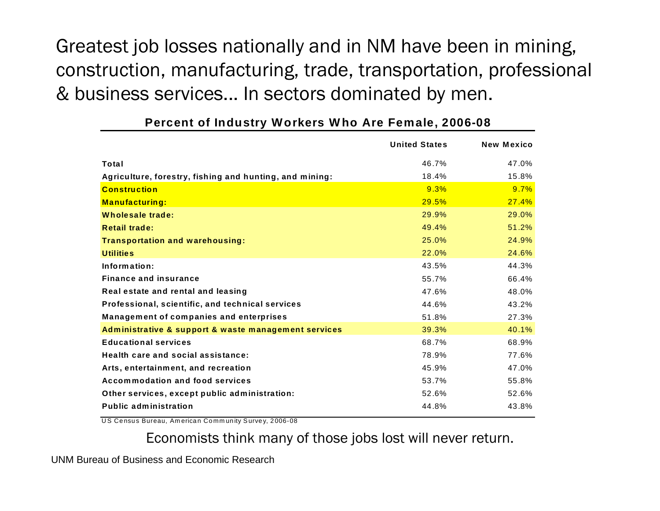Greatest job losses nationally and in NM have been in mining, construction, manufacturing, trade, transportation, professional & business services... In sectors dominated by men.

|                                                         | <b>United States</b> | <b>New Mexico</b> |
|---------------------------------------------------------|----------------------|-------------------|
| Total                                                   | 46.7%                | 47.0%             |
| Agriculture, forestry, fishing and hunting, and mining: | 18.4%                | 15.8%             |
| <b>Construction</b>                                     | 9.3%                 | 9.7%              |
| <b>Manufacturing:</b>                                   | 29.5%                | 27.4%             |
| Wholesale trade:                                        | 29.9%                | 29.0%             |
| <b>Retail trade:</b>                                    | 49.4%                | 51.2%             |
| <b>Transportation and warehousing:</b>                  | 25.0%                | 24.9%             |
| <b>Utilities</b>                                        | 22.0%                | 24.6%             |
| Information:                                            | 43.5%                | 44.3%             |
| <b>Finance and insurance</b>                            | 55.7%                | 66.4%             |
| Real estate and rental and leasing                      | 47.6%                | 48.0%             |
| Professional, scientific, and technical services        | 44.6%                | 43.2%             |
| Management of companies and enterprises                 | 51.8%                | 27.3%             |
| Administrative & support & waste management services    | 39.3%                | 40.1%             |
| <b>Educational services</b>                             | 68.7%                | 68.9%             |
| Health care and social assistance:                      | 78.9%                | 77.6%             |
| Arts, entertainment, and recreation                     | 45.9%                | 47.0%             |
| Accommodation and food services                         | 53.7%                | 55.8%             |
| Other services, except public administration:           | 52.6%                | 52.6%             |
| <b>Public administration</b>                            | 44.8%                | 43.8%             |

#### **Percent of Industry Workers Who Are Female, 2006-08**

US Census Bureau, American Community Survey, 2006-08

Economists think many of those jobs lost will never return.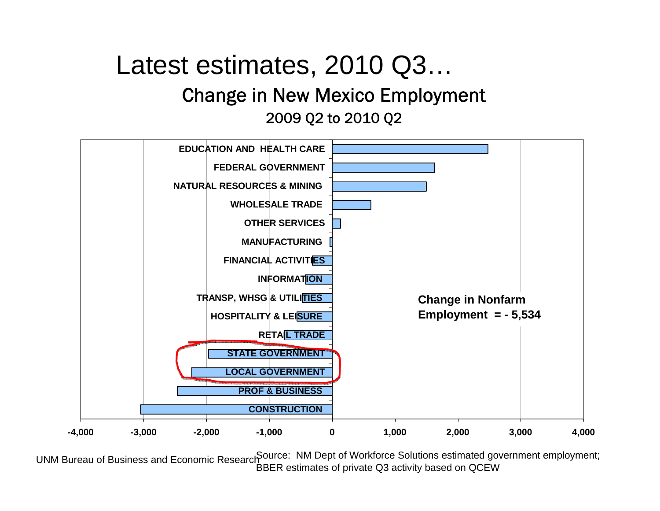### Latest estimates, 2010 Q3… Change in New Mexico Employment 2009 Q2 to 2010 Q2



UNM Bureau of Business and Economic Research Source: NM Dept of Workforce Solutions estimated government employment; BBER estimates of private Q3 activity based on QCEW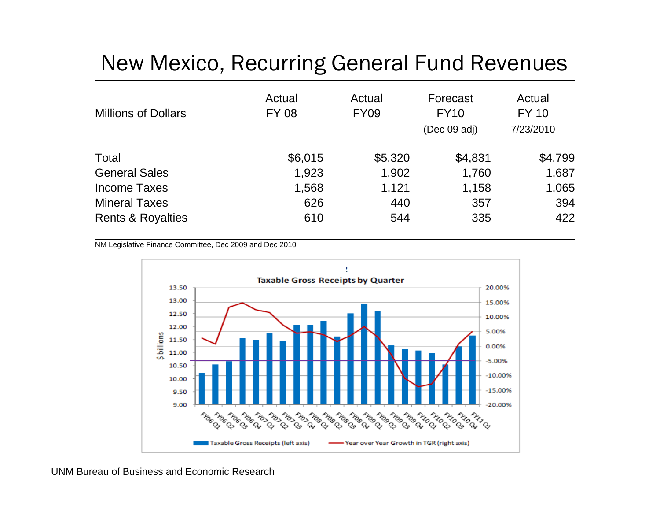### New Mexico, Recurring General Fund Revenues

| <b>Millions of Dollars</b>   | Actual<br><b>FY 08</b> | Actual<br><b>FY09</b> | Forecast<br><b>FY10</b><br>(Dec 09 adj) | Actual<br>FY 10<br>7/23/2010 |
|------------------------------|------------------------|-----------------------|-----------------------------------------|------------------------------|
| Total                        | \$6,015                | \$5,320               | \$4,831                                 | \$4,799                      |
| <b>General Sales</b>         | 1,923                  | 1,902                 | 1,760                                   | 1,687                        |
| Income Taxes                 | 1,568                  | 1,121                 | 1,158                                   | 1,065                        |
| <b>Mineral Taxes</b>         | 626                    | 440                   | 357                                     | 394                          |
| <b>Rents &amp; Royalties</b> | 610                    | 544                   | 335                                     | 422                          |

NM Legislative Finance Committee, Dec 2009 and Dec 2010

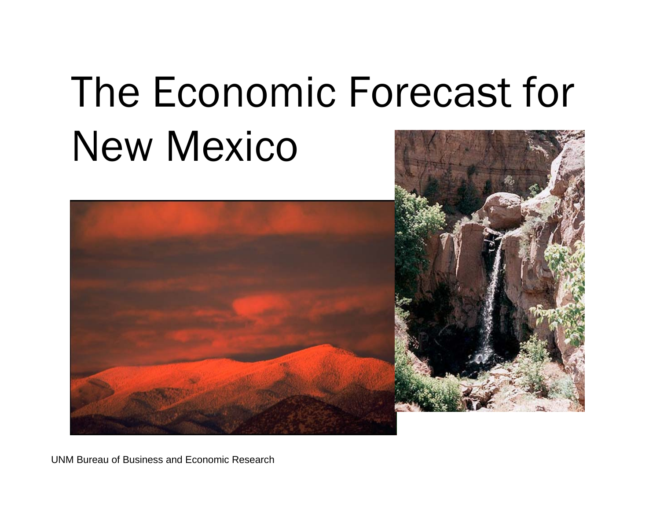# The Economic Forecast for New Mexico

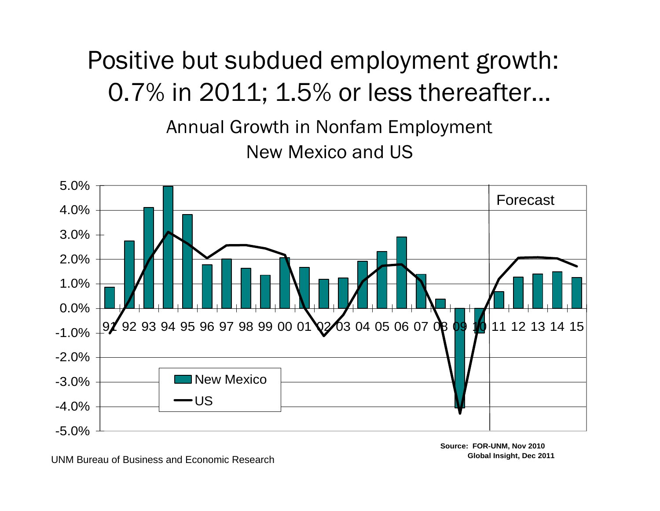# Positive but subdued employment growth: 0.7% in 2011; 1.5% or less thereafter…

Annual Growth in Nonfam Employment New Mexico and US



UNM Bureau of Business and Economic Research

**Source: FOR-UNM, Nov 2010 Global Insight, Dec 2011**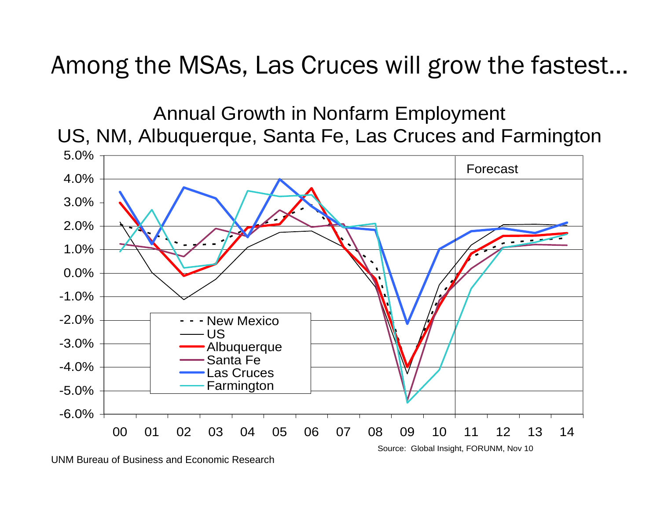Among the MSAs, Las Cruces will grow the fastest…



UNM Bureau of Business and Economic Research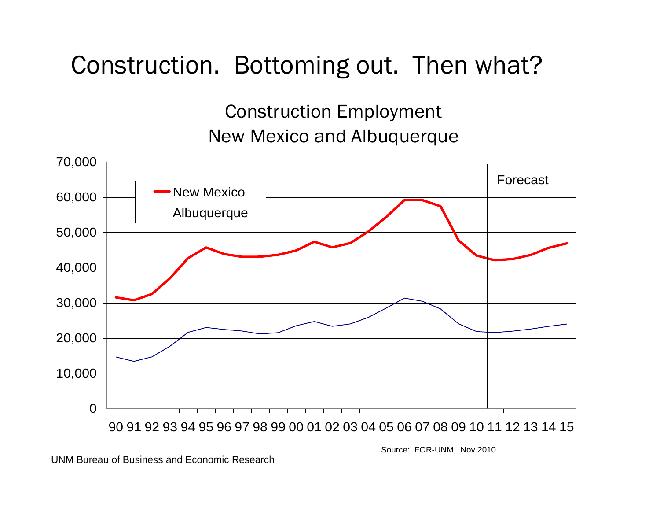### Construction. Bottoming out. Then what?

#### Construction Employment New Mexico and Albuquerque



UNM Bureau of Business and Economic Research

Source: FOR-UNM, Nov 2010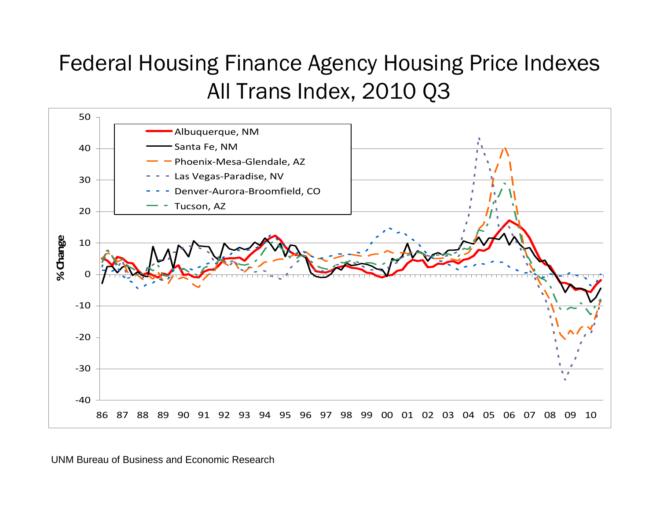### Federal Housing Finance Agency Housing Price Indexes All Trans Index, 2010 Q3

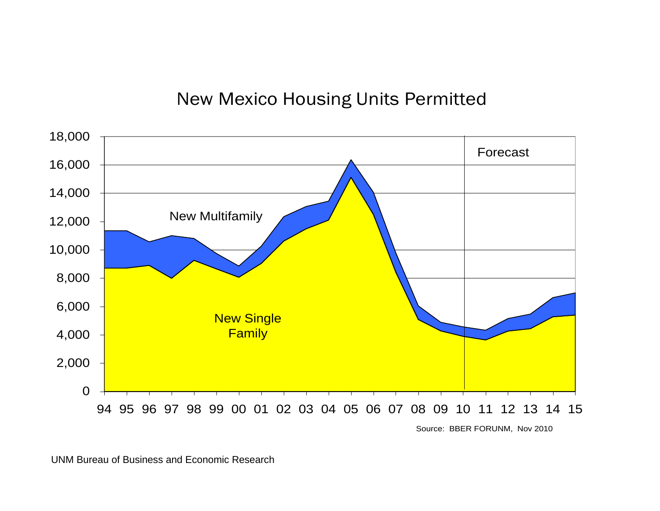#### New Mexico Housing Units Permitted

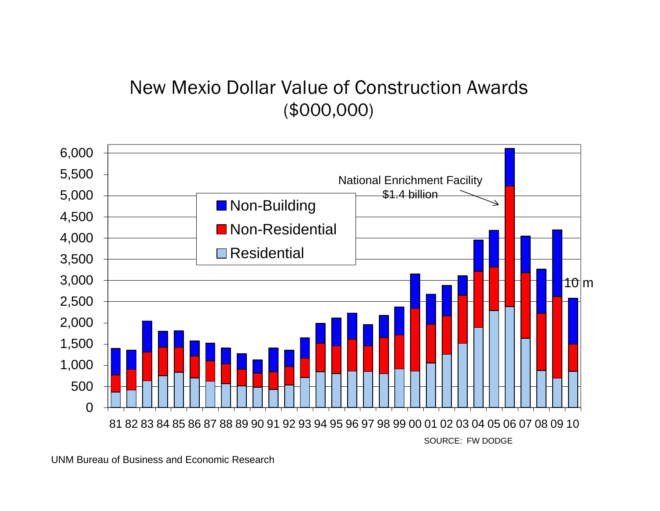#### New Mexio Dollar Value of Construction Awards (\$000,000)

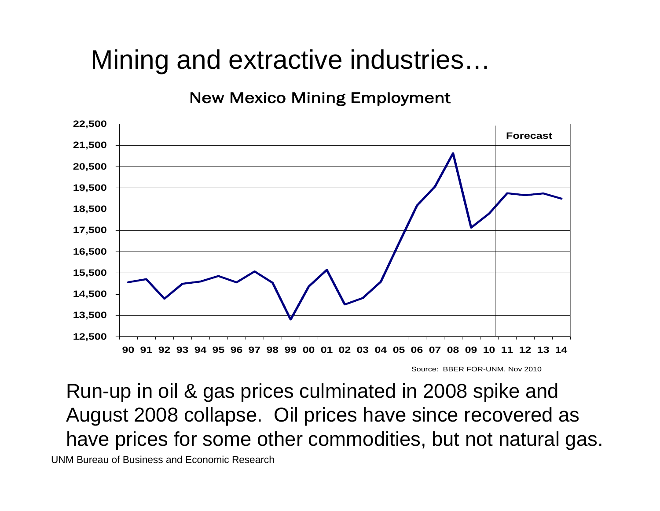# Mining and extractive industries…

New Mexico Mining Employment



Source: BBER FOR-UNM, Nov 2010

Run-up in oil & gas prices culminated in 2008 spike and August 2008 collapse. Oil prices have since recovered as have prices for some other commodities, but not natural gas. UNM Bureau of Business and Economic Research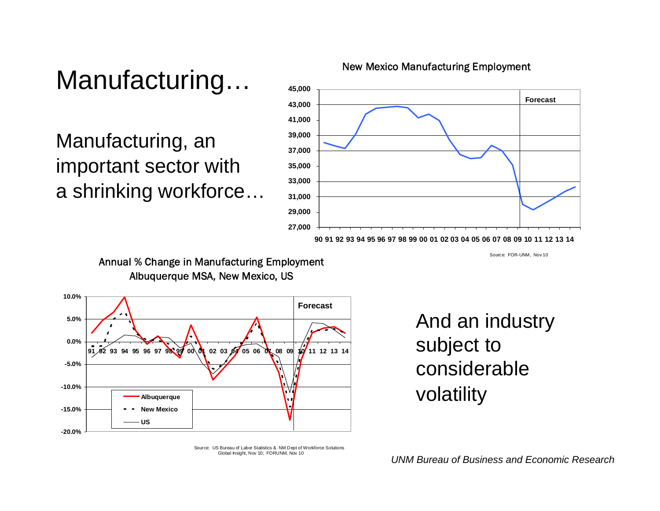# Manufacturing…

Manufacturing, an important sector with a shrinking workforce…



#### New Mexico Manufacturing Employment

Source: FOR-UNM, Nov 10

Annual % Change in Manufacturing Employment Albuquerque MSA, New Mexico, US



And an industry subject to considerablevolatility

Source: US Bureau of Labor Statistics & NM Dept of Workforce Solutions Global Insight, Nov 10; FORUNM, Nov 10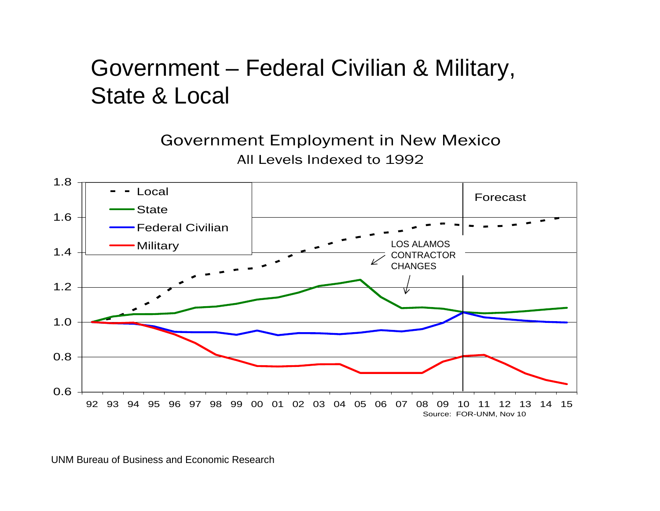### Government – Federal Civilian & Military, State & Local

Government Employment in New Mexico All Levels Indexed to 1992

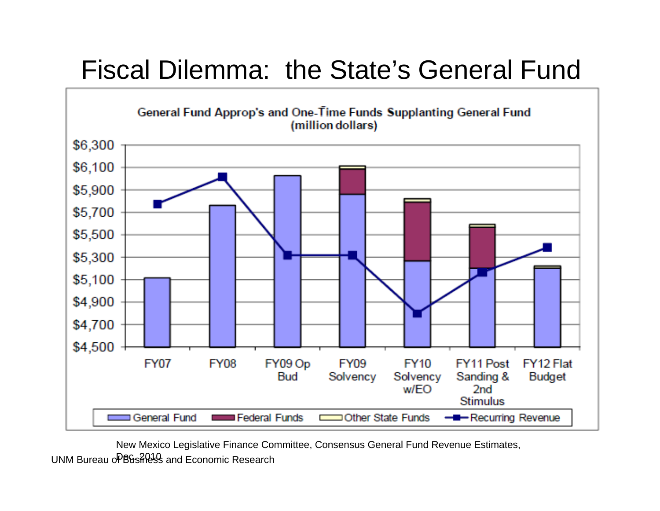# Fiscal Dilemma: the State's General Fund



New Mexico Legislative Finance Committee, Consensus General Fund Revenue Estimates,

UNM Bureau o<sup>p</sup>Business and Economic Research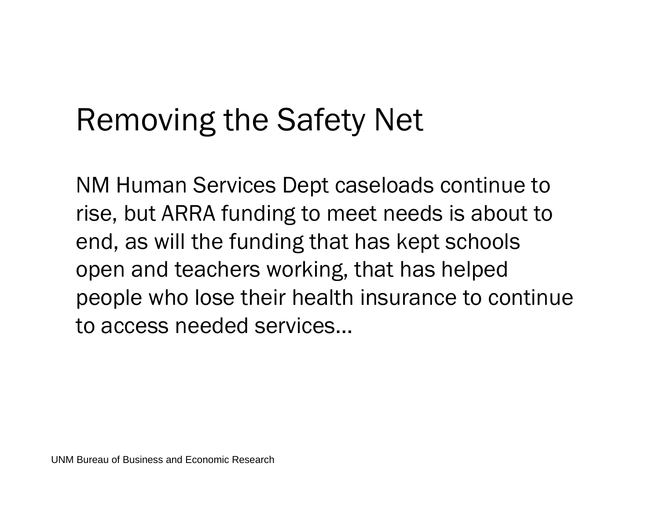# Removing the Safety Net

NM Human Services Dept caseloads continue to rise, but ARRA funding to meet needs is about to end, as will the funding that has kept schools open and teachers working, that has helped people who lose their health insurance to continue to access needed services…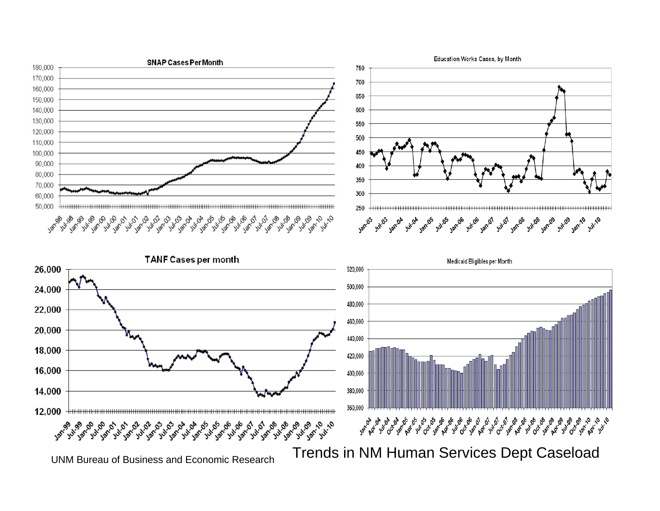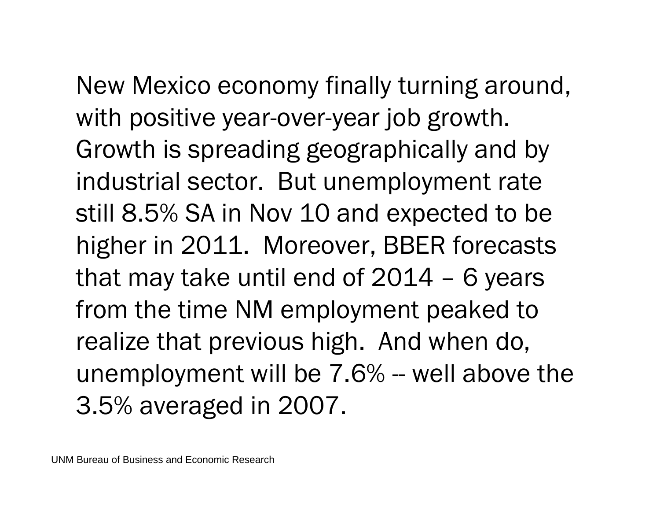New Mexico economy finally turning around,

with positive year-over-year job growth. Growth is spreading geographically and by industrial sector. But unemployment rate still 8.5% SA in Nov 10 and expected to be higher in 2011. Moreover, BBER forecasts that may take until end of 2014 – 6 years from the time NM employment peaked to realize that previous high. And when do, unemployment will be 7.6% -- well above the 3.5% averaged in 2007.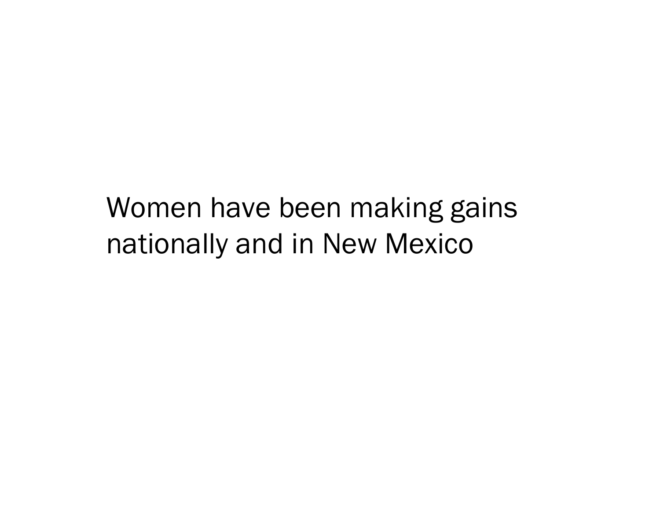# Women have been making gains nationally and in New Mexico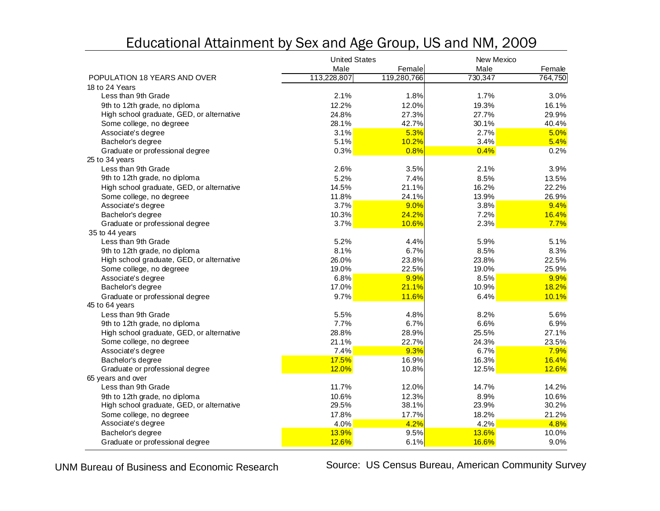#### Educational Attainment by Sex and Age Group, US and NM, 2009

|                                           | <b>United States</b> |             | New Mexico |              |
|-------------------------------------------|----------------------|-------------|------------|--------------|
|                                           | Male                 | Female      | Male       | Female       |
| POPULATION 18 YEARS AND OVER              | 113,228,807          | 119,280,766 | 730,347    | 764,750      |
| 18 to 24 Years                            |                      |             |            |              |
| Less than 9th Grade                       | 2.1%                 | 1.8%        | 1.7%       | 3.0%         |
| 9th to 12th grade, no diploma             | 12.2%                | 12.0%       | 19.3%      | 16.1%        |
| High school graduate, GED, or alternative | 24.8%                | 27.3%       | 27.7%      | 29.9%        |
| Some college, no degreee                  | 28.1%                | 42.7%       | 30.1%      | 40.4%        |
| Associate's degree                        | 3.1%                 | 5.3%        | 2.7%       | 5.0%         |
| Bachelor's degree                         | 5.1%                 | 10.2%       | 3.4%       | 5.4%         |
| Graduate or professional degree           | 0.3%                 | 0.8%        | 0.4%       | 0.2%         |
| 25 to 34 years                            |                      |             |            |              |
| Less than 9th Grade                       | 2.6%                 | 3.5%        | 2.1%       | 3.9%         |
| 9th to 12th grade, no diploma             | 5.2%                 | 7.4%        | 8.5%       | 13.5%        |
| High school graduate, GED, or alternative | 14.5%                | 21.1%       | 16.2%      | 22.2%        |
| Some college, no degreee                  | 11.8%                | 24.1%       | 13.9%      | 26.9%        |
| Associate's degree                        | 3.7%                 | 9.0%        | 3.8%       | 9.4%         |
| Bachelor's degree                         | 10.3%                | 24.2%       | 7.2%       | 16.4%        |
| Graduate or professional degree           | 3.7%                 | 10.6%       | 2.3%       | 7.7%         |
| 35 to 44 years                            |                      |             |            |              |
| Less than 9th Grade                       | 5.2%                 | 4.4%        | 5.9%       | 5.1%         |
| 9th to 12th grade, no diploma             | 8.1%                 | 6.7%        | 8.5%       | 8.3%         |
| High school graduate, GED, or alternative | 26.0%                | 23.8%       | 23.8%      | 22.5%        |
| Some college, no degreee                  | 19.0%                | 22.5%       | 19.0%      | 25.9%        |
| Associate's degree                        | 6.8%                 | 9.9%        | 8.5%       | 9.9%         |
| Bachelor's degree                         | 17.0%                | 21.1%       | 10.9%      | 18.2%        |
| Graduate or professional degree           | 9.7%                 | 11.6%       | 6.4%       | 10.1%        |
| 45 to 64 years                            |                      |             |            |              |
| Less than 9th Grade                       | 5.5%                 | 4.8%        | 8.2%       | 5.6%         |
| 9th to 12th grade, no diploma             | 7.7%                 | 6.7%        | 6.6%       | 6.9%         |
| High school graduate, GED, or alternative | 28.8%                | 28.9%       | 25.5%      | 27.1%        |
| Some college, no degreee                  | 21.1%                | 22.7%       | 24.3%      | 23.5%        |
| Associate's degree                        | 7.4%                 | 9.3%        | 6.7%       | 7.9%         |
| Bachelor's degree                         | 17.5%                | 16.9%       | 16.3%      | 16.4%        |
| Graduate or professional degree           | 12.0%                | 10.8%       | 12.5%      | <b>12.6%</b> |
| 65 years and over                         |                      |             |            |              |
| Less than 9th Grade                       | 11.7%                | 12.0%       | 14.7%      | 14.2%        |
| 9th to 12th grade, no diploma             | 10.6%                | 12.3%       | 8.9%       | 10.6%        |
| High school graduate, GED, or alternative | 29.5%                | 38.1%       | 23.9%      | 30.2%        |
| Some college, no degreee                  | 17.8%                | 17.7%       | 18.2%      | 21.2%        |
| Associate's degree                        | 4.0%                 | 4.2%        | 4.2%       | 4.8%         |
| Bachelor's degree                         | 13.9%                | 9.5%        | 13.6%      | 10.0%        |
| Graduate or professional degree           | 12.6%                | 6.1%        | 16.6%      | 9.0%         |

UNM Bureau of Business and Economic Research

Source: US Census Bureau, American Community Survey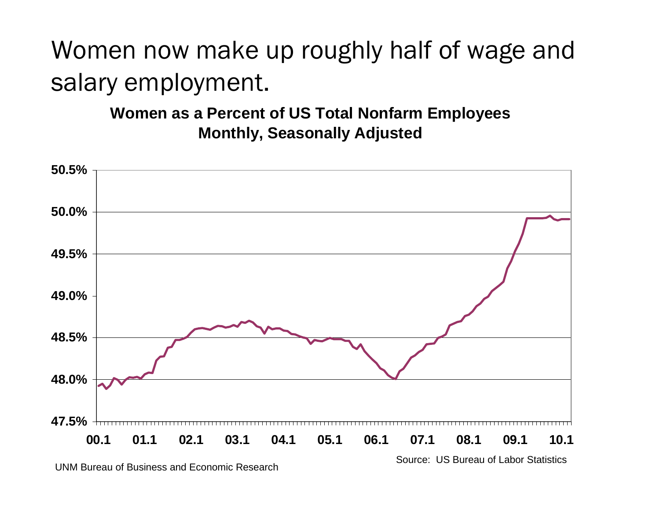# Women now make up roughly half of wage and salary employment.

**Women as a Percent of US Total Nonfarm Employees Monthly, Seasonally Adjusted**



UNM Bureau of Business and Economic Research

Source: US Bureau of Labor Statistics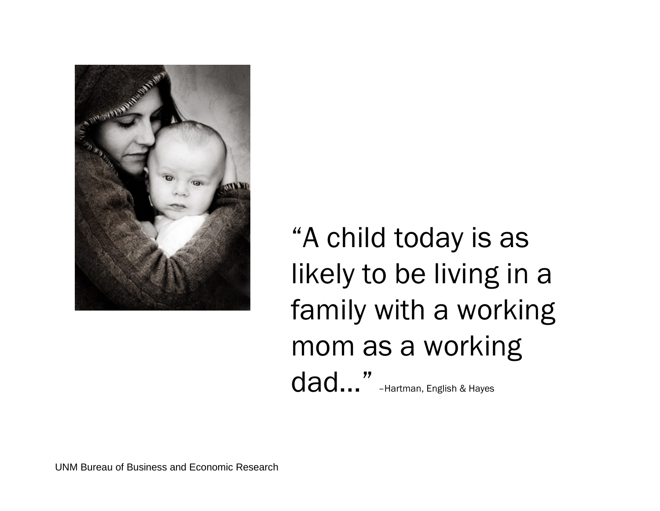

"A child today is as likely to be living in a family with a working mom as a working dad..." -Hartman, English & Hayes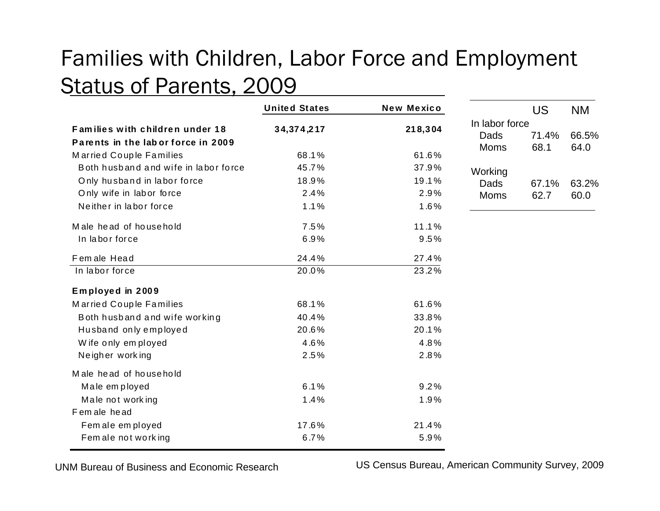### Families with Children, Labor Force and Employment Status of Parents, 2009

|                                                                       | <b>United States</b>  | New Mexico            |                                       | <b>US</b>     | <b>NM</b>     |
|-----------------------------------------------------------------------|-----------------------|-----------------------|---------------------------------------|---------------|---------------|
| Families with children under 18<br>Parents in the labor force in 2009 | 34, 374, 217          | 218,304               | In labor force<br>Dads<br><b>Moms</b> | 71.4%<br>68.1 | 66.5%<br>64.0 |
| Married Couple Families<br>Both husband and wife in labor force       | 68.1%<br>45.7%        | 61.6%<br>37.9%        |                                       |               |               |
| Only husband in labor force<br>Only wife in labor force               | 18.9%<br>2.4%         | 19.1%<br>2.9%         | Working<br>Dads<br><b>Moms</b>        | 67.1%<br>62.7 | 63.2%<br>60.0 |
| Neither in labor force<br>Male head of household<br>In labor force    | 1.1%<br>7.5%<br>6.9%  | 1.6%<br>11.1%<br>9.5% |                                       |               |               |
| Female Head                                                           | 24.4%                 | 27.4%                 |                                       |               |               |
| In labor force<br>Employed in 2009                                    | 20.0%                 | $\overline{23.2\%}$   |                                       |               |               |
| Married Couple Families<br>Both husband and wife working              | 68.1%<br>40.4%        | 61.6%<br>33.8%        |                                       |               |               |
| Husband only employed<br>Wife only employed<br>Neigher working        | 20.6%<br>4.6%<br>2.5% | 20.1%<br>4.8%<br>2.8% |                                       |               |               |
| Male head of household                                                |                       |                       |                                       |               |               |
| Male employed<br>Male not working<br>F em ale head                    | 6.1%<br>1.4%          | 9.2%<br>1.9%          |                                       |               |               |
| Fem ale em ployed<br>Fem ale not working                              | 17.6%<br>6.7%         | 21.4%<br>5.9%         |                                       |               |               |

UNM Bureau of Business and Economic Research

US Census Bureau, American Community Survey, 2009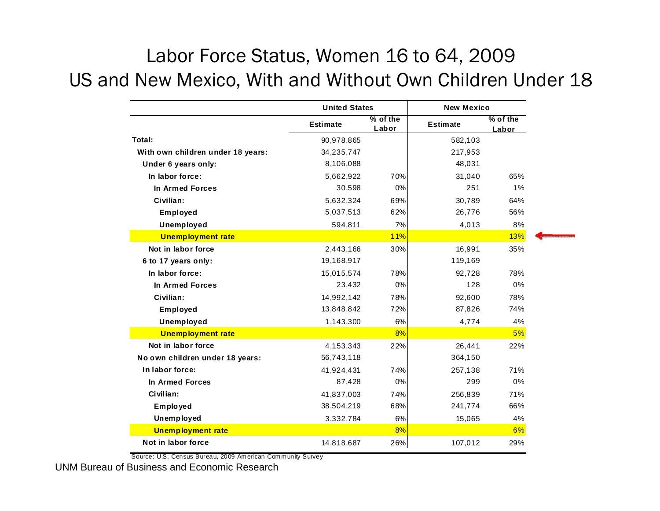#### Labor Force Status, Women 16 to 64, 2009 US and New Mexico, With and Without Own Children Under 18

|                                   | <b>United States</b> |                   | <b>New Mexico</b> |                     |  |  |
|-----------------------------------|----------------------|-------------------|-------------------|---------------------|--|--|
|                                   | <b>Estimate</b>      | % of the<br>Labor | <b>Estimate</b>   | $%$ of the<br>Labor |  |  |
| Total:                            | 90,978,865           |                   | 582,103           |                     |  |  |
| With own children under 18 years: | 34, 235, 747         |                   | 217,953           |                     |  |  |
| Under 6 years only:               | 8,106,088            |                   | 48,031            |                     |  |  |
| In labor force:                   | 5,662,922            | 70%               | 31,040            | 65%                 |  |  |
| In Armed Forces                   | 30,598               | 0%                | 251               | 1%                  |  |  |
| Civilian:                         | 5,632,324            | 69%               | 30,789            | 64%                 |  |  |
| Employed                          | 5,037,513            | 62%               | 26,776            | 56%                 |  |  |
| Unemployed                        | 594,811              | 7%                | 4,013             | 8%                  |  |  |
| <b>Unemployment rate</b>          |                      | <b>11%</b>        |                   | 13%                 |  |  |
| Not in labor force                | 2,443,166            | 30%               | 16,991            | 35%                 |  |  |
| 6 to 17 years only:               | 19,168,917           |                   | 119,169           |                     |  |  |
| In labor force:                   | 15,015,574           | 78%               | 92,728            | 78%                 |  |  |
| In Armed Forces                   | 23,432               | 0%                | 128               | 0%                  |  |  |
| Civilian:                         | 14,992,142           | 78%               | 92,600            | 78%                 |  |  |
| Employed                          | 13,848,842           | 72%               | 87,826            | 74%                 |  |  |
| Unemployed                        | 1,143,300            | 6%                | 4,774             | 4%                  |  |  |
| <b>Unemployment rate</b>          |                      | 8%                |                   | 5%                  |  |  |
| Not in labor force                | 4,153,343            | 22%               | 26,441            | 22%                 |  |  |
| No own children under 18 years:   | 56,743,118           |                   | 364,150           |                     |  |  |
| In labor force:                   | 41,924,431           | 74%               | 257,138           | 71%                 |  |  |
| In Armed Forces                   | 87,428               | 0%                | 299               | 0%                  |  |  |
| Civilian:                         | 41,837,003           | 74%               | 256,839           | 71%                 |  |  |
| Employed                          | 38,504,219           | 68%               | 241,774           | 66%                 |  |  |
| Unemployed                        | 3,332,784            | 6%                | 15,065            | 4%                  |  |  |
| <b>Unemployment rate</b>          |                      | 8%                |                   | 6%                  |  |  |
| Not in labor force                | 14,818,687           | 26%               | 107,012           | 29%                 |  |  |
|                                   |                      |                   |                   |                     |  |  |

Source: U.S. Census Bureau, 2009 American Community Survey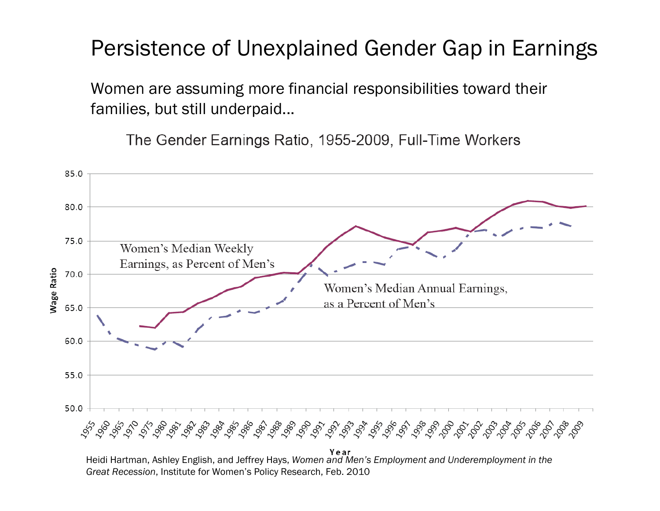### Persistence of Unexplained Gender Gap in Earnings

Women are assuming more financial responsibilities toward their families, but still underpaid...

The Gender Earnings Ratio, 1955-2009, Full-Time Workers



*Great Recession*, Institute for Women's Policy Research, Feb. 2010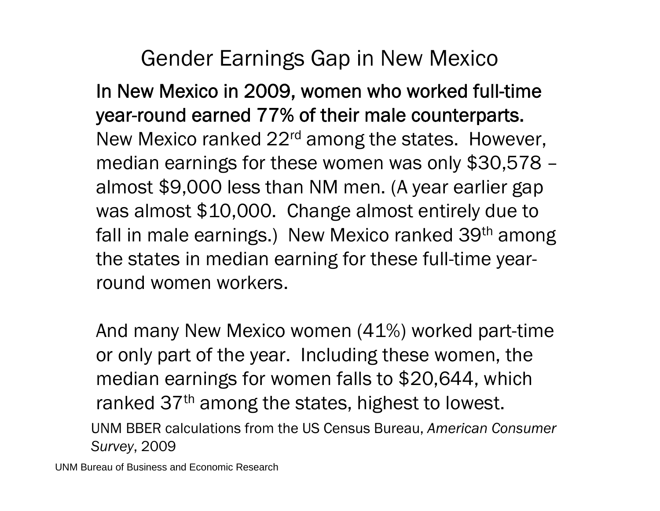### Gender Earnings Gap in New Mexico

In New Mexico in 2009, women who worked full-time year-round earned 77% of their male counterparts. New Mexico ranked 22<sup>rd</sup> among the states. However, median earnings for these women was only \$30,578 – almost \$9,000 less than NM men. (A year earlier gap was almost \$10,000. Change almost entirely due to fall in male earnings.) New Mexico ranked 39<sup>th</sup> among the states in median earning for these full-time yearround women workers.

And many New Mexico women (41%) worked part-time or only part of the year. Including these women, the median earnings for women falls to \$20,644, which ranked 37<sup>th</sup> among the states, highest to lowest. UNM BBER calculations from the US Census Bureau, *American Consumer Survey*, 2009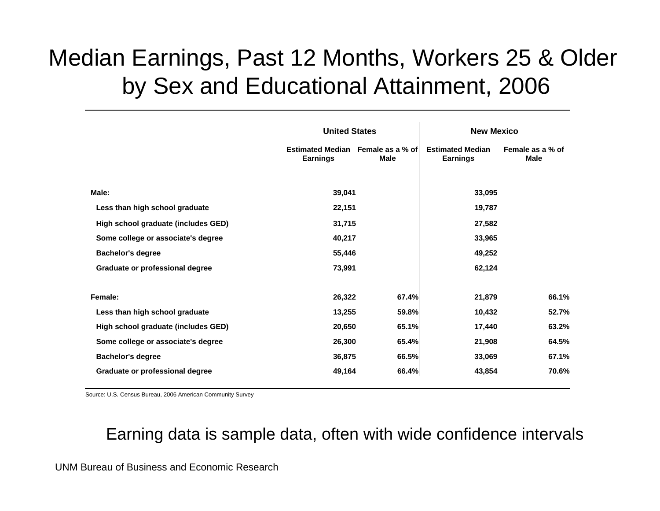### Median Earnings, Past 12 Months, Workers 25 & Older by Sex and Educational Attainment, 2006

|                                     | <b>United States</b>                                 |             | <b>New Mexico</b>                          |                          |  |  |
|-------------------------------------|------------------------------------------------------|-------------|--------------------------------------------|--------------------------|--|--|
|                                     | Estimated Median Female as a % of<br><b>Earnings</b> | <b>Male</b> | <b>Estimated Median</b><br><b>Earnings</b> | Female as a % of<br>Male |  |  |
|                                     |                                                      |             |                                            |                          |  |  |
| Male:                               | 39,041                                               |             | 33,095                                     |                          |  |  |
| Less than high school graduate      | 22,151                                               |             | 19,787                                     |                          |  |  |
| High school graduate (includes GED) | 31,715                                               |             | 27,582                                     |                          |  |  |
| Some college or associate's degree  | 40,217                                               |             | 33,965                                     |                          |  |  |
| <b>Bachelor's degree</b>            | 55,446                                               |             | 49,252                                     |                          |  |  |
| Graduate or professional degree     | 73,991                                               |             | 62,124                                     |                          |  |  |
| Female:                             | 26,322                                               | 67.4%       | 21,879                                     | 66.1%                    |  |  |
| Less than high school graduate      | 13,255                                               | 59.8%       | 10,432                                     | 52.7%                    |  |  |
| High school graduate (includes GED) | 20,650                                               | 65.1%       | 17,440                                     | 63.2%                    |  |  |
| Some college or associate's degree  | 26,300                                               | 65.4%       | 21,908                                     | 64.5%                    |  |  |
| <b>Bachelor's degree</b>            | 36,875                                               | 66.5%       | 33,069                                     | 67.1%                    |  |  |
| Graduate or professional degree     | 49,164                                               | 66.4%       | 43,854                                     | 70.6%                    |  |  |

Source: U.S. Census Bureau, 2006 American Community Survey

#### Earning data is sample data, often with wide confidence intervals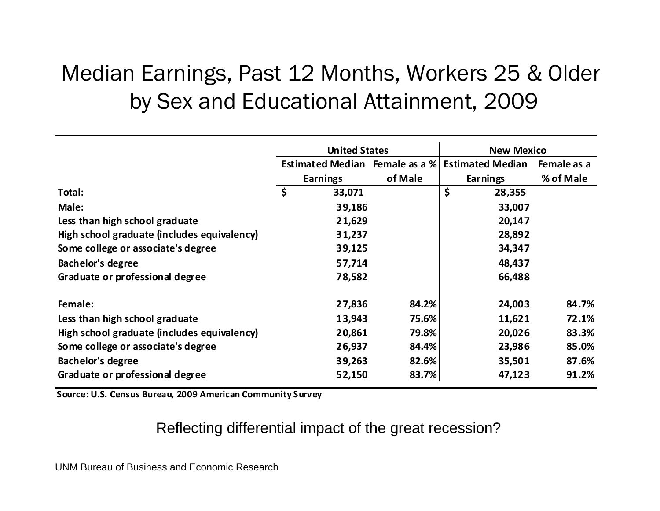### Median Earnings, Past 12 Months, Workers 25 & Older by Sex and Educational Attainment, 2009

|                                             | <b>United States</b>           |         | <b>New Mexico</b>       |             |
|---------------------------------------------|--------------------------------|---------|-------------------------|-------------|
|                                             | Estimated Median Female as a % |         | <b>Estimated Median</b> | Female as a |
|                                             | <b>Earnings</b>                | of Male | Earnings                | % of Male   |
| Total:                                      | \$<br>33,071                   |         | \$<br>28,355            |             |
| Male:                                       | 39,186                         |         | 33,007                  |             |
| Less than high school graduate              | 21,629                         |         | 20,147                  |             |
| High school graduate (includes equivalency) | 31,237                         |         | 28,892                  |             |
| Some college or associate's degree          | 39,125                         |         | 34,347                  |             |
| <b>Bachelor's degree</b>                    | 57,714                         |         | 48,437                  |             |
| Graduate or professional degree             | 78,582                         |         | 66,488                  |             |
| Female:                                     | 27,836                         | 84.2%   | 24,003                  | 84.7%       |
| Less than high school graduate              | 13,943                         | 75.6%   | 11,621                  | 72.1%       |
| High school graduate (includes equivalency) | 20,861                         | 79.8%   | 20,026                  | 83.3%       |
| Some college or associate's degree          | 26,937                         | 84.4%   | 23,986                  | 85.0%       |
| <b>Bachelor's degree</b>                    | 39,263                         | 82.6%   | 35,501                  | 87.6%       |
| Graduate or professional degree             | 52,150                         | 83.7%   | 47,123                  | 91.2%       |

**Source: U.S. Census Bureau, 2009 American Community Survey**

#### Reflecting differential impact of the great recession?